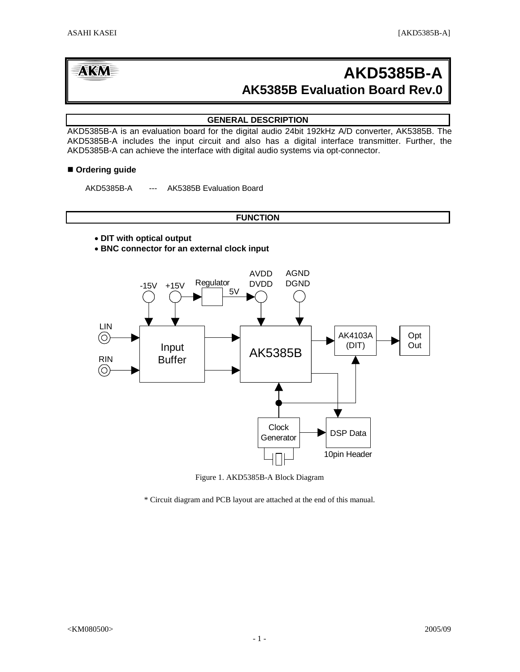# **AK5385B Evaluation Board Rev.0 AKD5385B-A**

# **GENERAL DESCRIPTION**

AKD5385B-A is an evaluation board for the digital audio 24bit 192kHz A/D converter, AK5385B. The AKD5385B-A includes the input circuit and also has a digital interface transmitter. Further, the AKD5385B-A can achieve the interface with digital audio systems via opt-connector.

# ■ Ordering guide

AKD5385B-A --- AK5385B Evaluation Board

# **FUNCTION**

- • **DIT with optical output**
- **BNC connector for an external clock input**



Figure 1. AKD5385B-A Block Diagram

\* Circuit diagram and PCB layout are attached at the end of this manual.

**AKM**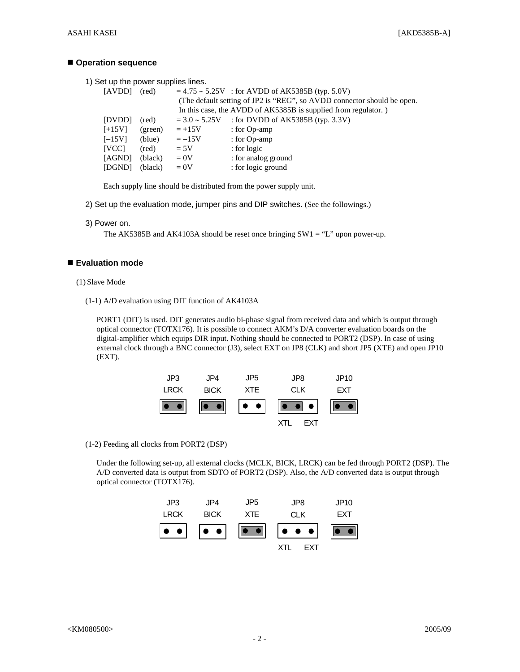### **Operation sequence**

1) Set up the power supplies lines.

| [AVDD]       | (red)   |                    | $= 4.75 \approx 5.25V$ : for AVDD of AK5385B (typ. 5.0V)                |
|--------------|---------|--------------------|-------------------------------------------------------------------------|
|              |         |                    | (The default setting of JP2 is "REG", so AVDD connector should be open. |
|              |         |                    | In this case, the AVDD of AK5385B is supplied from regulator.)          |
| [DVDD]       | (red)   | $= 3.0 \sim 5.25V$ | : for DVDD of AK5385B (typ. $3.3V$ )                                    |
| $[+15V]$     | (green) | $=+15V$            | : for $Op$ -amp                                                         |
| $[-15V]$     | (blue)  | $=-15V$            | : for Op-amp                                                            |
| <b>IVCCI</b> | (red)   | $= 5V$             | $:$ for logic                                                           |
| [AGND]       | (black) | $= 0V$             | : for analog ground                                                     |
| [DGND]       | (black) | $= 0V$             | : for logic ground                                                      |
|              |         |                    |                                                                         |

Each supply line should be distributed from the power supply unit.

- 2) Set up the evaluation mode, jumper pins and DIP switches. (See the followings.)
- 3) Power on.

The AK5385B and AK4103A should be reset once bringing  $SW1 = "L"$  upon power-up.

# **Evaluation mode**

- (1) Slave Mode
	- (1-1) A/D evaluation using DIT function of AK4103A

PORT1 (DIT) is used. DIT generates audio bi-phase signal from received data and which is output through optical connector (TOTX176). It is possible to connect AKM's D/A converter evaluation boards on the digital-amplifier which equips DIR input. Nothing should be connected to PORT2 (DSP). In case of using external clock through a BNC connector (J3), select EXT on JP8 (CLK) and short JP5 (XTE) and open JP10 (EXT).



(1-2) Feeding all clocks from PORT2 (DSP)

Under the following set-up, all external clocks (MCLK, BICK, LRCK) can be fed through PORT2 (DSP). The A/D converted data is output from SDTO of PORT2 (DSP). Also, the A/D converted data is output through optical connector (TOTX176).

| JP3         | JPA         | JP5 | JP8 | JP <sub>10</sub> |
|-------------|-------------|-----|-----|------------------|
| <b>LRCK</b> | <b>BICK</b> | XTE | CLK | EXT              |
|             |             |     |     |                  |
|             |             |     | FXT |                  |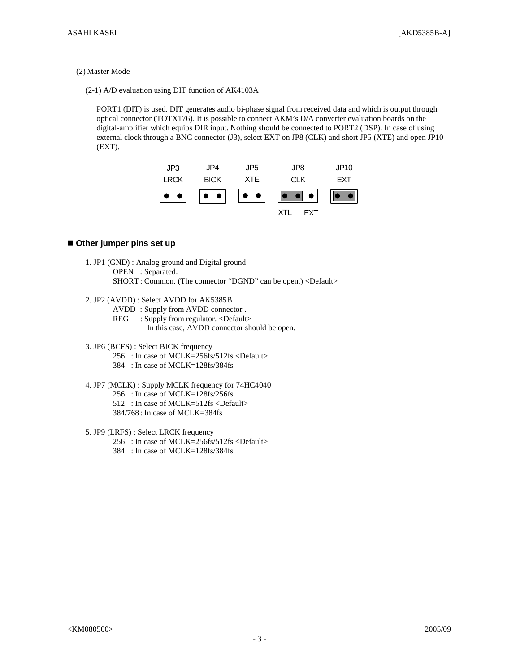#### (2) Master Mode

(2-1) A/D evaluation using DIT function of AK4103A

PORT1 (DIT) is used. DIT generates audio bi-phase signal from received data and which is output through optical connector (TOTX176). It is possible to connect AKM's D/A converter evaluation boards on the digital-amplifier which equips DIR input. Nothing should be connected to PORT2 (DSP). In case of using external clock through a BNC connector (J3), select EXT on JP8 (CLK) and short JP5 (XTE) and open JP10 (EXT).



## **Other jumper pins set up**

- 1. JP1 (GND) : Analog ground and Digital ground OPEN : Separated. SHORT : Common. (The connector "DGND" can be open.) <Default>
- 2. JP2 (AVDD) : Select AVDD for AK5385B
	- AVDD : Supply from AVDD connector .
	- REG : Supply from regulator. <Default>
		- In this case, AVDD connector should be open.
- 3. JP6 (BCFS) : Select BICK frequency
	- 256 : In case of MCLK=256fs/512fs <Default>
	- 384 : In case of MCLK=128fs/384fs
- 4. JP7 (MCLK) : Supply MCLK frequency for 74HC4040
	- 256 : In case of MCLK=128fs/256fs
	- 512 : In case of MCLK=512fs <Default>
	- 384/768 : In case of MCLK=384fs
- 5. JP9 (LRFS) : Select LRCK frequency
	- 256 : In case of MCLK=256fs/512fs <Default>
		- 384 : In case of MCLK=128fs/384fs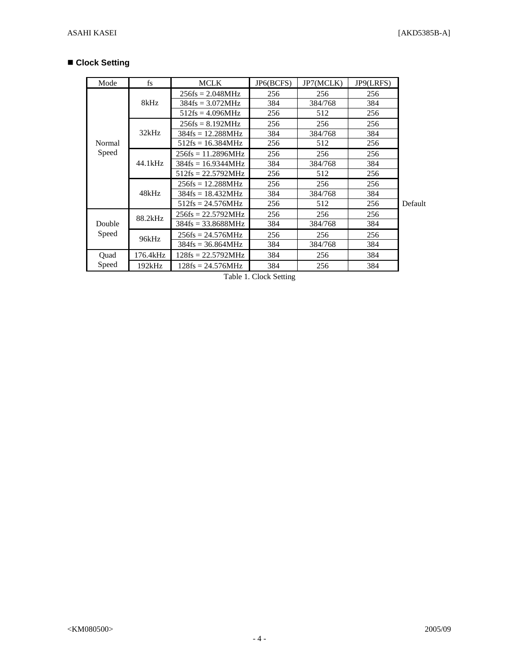# **Clock Setting**

| Mode            | fs       | <b>MCLK</b>          | JP6(BCFS) | JP7(MCLK) | JP9(LRFS) |         |
|-----------------|----------|----------------------|-----------|-----------|-----------|---------|
|                 |          | $256fs = 2.048MHz$   | 256       | 256       | 256       |         |
|                 | 8kHz     | $384fs = 3.072MHz$   | 384       | 384/768   | 384       |         |
|                 |          | $512$ fs = 4.096MHz  | 256       | 512       | 256       |         |
|                 |          | $256fs = 8.192MHz$   | 256       | 256       | 256       |         |
|                 | 32kHz    | $384fs = 12.288MHz$  | 384       | 384/768   | 384       |         |
| Normal          |          | $512fs = 16.384MHz$  | 256       | 512       | 256       |         |
| Speed           |          | $256fs = 11.2896MHz$ | 256       | 256       | 256       |         |
|                 | 44.1kHz  | $384fs = 16.9344MHz$ | 384       | 384/768   | 384       |         |
|                 |          | $512fs = 22.5792MHz$ | 256       | 512       | 256       |         |
|                 | 48kHz    | $256fs = 12.288MHz$  | 256       | 256       | 256       |         |
|                 |          | $384fs = 18.432MHz$  | 384       | 384/768   | 384       |         |
|                 |          | $512$ fs = 24.576MHz | 256       | 512       | 256       | Default |
| Double<br>Speed | 88.2kHz  | $256fs = 22.5792MHz$ | 256       | 256       | 256       |         |
|                 |          | $384fs = 33.8688MHz$ | 384       | 384/768   | 384       |         |
|                 | 96kHz    | $256fs = 24.576MHz$  | 256       | 256       | 256       |         |
|                 |          | $384fs = 36.864MHz$  | 384       | 384/768   | 384       |         |
| Quad            | 176.4kHz | $128fs = 22.5792MHz$ | 384       | 256       | 384       |         |
| Speed           | 192kHz   | $128fs = 24.576MHz$  | 384       | 256       | 384       |         |

Table 1. Clock Setting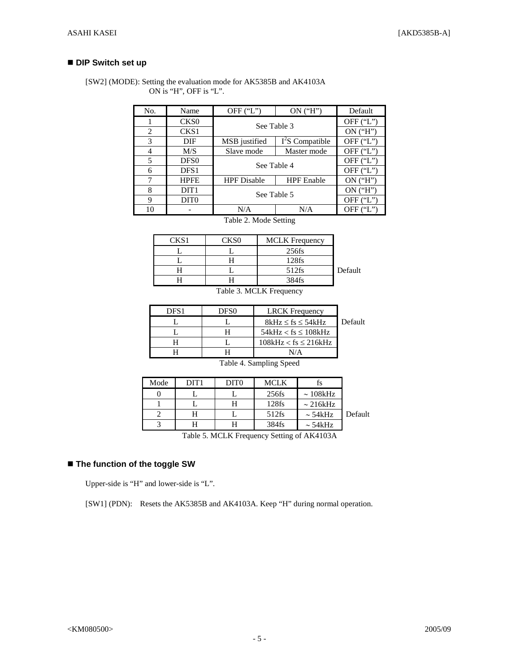# ■ **DIP Switch set up**

 [SW2] (MODE): Setting the evaluation mode for AK5385B and AK4103A ON is "H", OFF is "L".

| No. | Name             | OFF $(T')$         | ON('H")           | Default     |
|-----|------------------|--------------------|-------------------|-------------|
|     | CKS <sub>0</sub> |                    | See Table 3       |             |
| 2   | CKS1             |                    |                   | ON('H")     |
| 3   | DIF              | MSB justified      | $I^2S$ Compatible | OFF $('L")$ |
| 4   | M/S              | Slave mode         | Master mode       | OFF $(T')$  |
| 5   | DFS <sub>0</sub> | See Table 4        |                   | OFF $(T')$  |
| 6   | DFS1             |                    |                   | OFF ("L")   |
| 7   | <b>HPFE</b>      | <b>HPF</b> Disable | <b>HPF</b> Enable | $ON$ ("H")  |
| 8   | DIT <sub>1</sub> | See Table 5        |                   | $ON$ ("H")  |
| 9   | DIT <sub>0</sub> |                    | OFF $(T')$        |             |
| 10  |                  | N/A                | N/A               | OFF $('L")$ |

Table 2. Mode Setting

| 7K S 1 | 77 S O | <b>MCLK</b> Frequency |         |
|--------|--------|-----------------------|---------|
|        |        | 256fs                 |         |
|        |        | $128$ fs              |         |
|        |        | 512fs                 | Default |
|        |        | 384fs                 |         |

Table 3. MCLK Frequency

| DES <sub>1</sub> | DFS0 | <b>LRCK</b> Frequency     |         |
|------------------|------|---------------------------|---------|
|                  |      | $8kHz \leq fs \leq 54kHz$ | Default |
|                  |      | $54kHz < fs \leq 108kHz$  |         |
|                  |      | $108kHz < fs \leq 216kHz$ |         |
|                  |      |                           |         |

Table 4. Sampling Speed

|                                                                                                                           | ts             | <b>MCLK</b> | DIT <sub>0</sub> | DIT1 | Mode |  |  |
|---------------------------------------------------------------------------------------------------------------------------|----------------|-------------|------------------|------|------|--|--|
|                                                                                                                           | $\sim 108$ kHz | $256$ fs    |                  |      |      |  |  |
|                                                                                                                           | $\sim 216kHz$  | 128fs       | H                |      |      |  |  |
| Default                                                                                                                   | $\sim$ 54 kHz  | $512$ fs    |                  |      |      |  |  |
|                                                                                                                           | $\sim$ 54 kHz  | 384fs       |                  |      |      |  |  |
| $\sim$ $\sim$<br>$\mathbf{X}$<br>$C \leftarrow T$ $T$ $T$ $A$ $A$ $C$ $A$ $A$<br><b>m</b> 1 1<br>$\overline{\phantom{0}}$ |                |             |                  |      |      |  |  |

Table 5. MCLK Frequency Setting of AK4103A

# **The function of the toggle SW**

Upper-side is "H" and lower-side is "L".

[SW1] (PDN): Resets the AK5385B and AK4103A. Keep "H" during normal operation.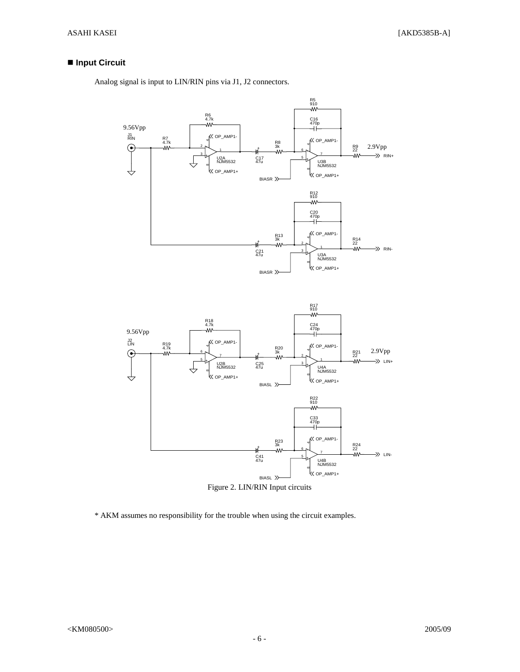# ■ Input Circuit

Analog signal is input to LIN/RIN pins via J1, J2 connectors.



Figure 2. LIN/RIN Input circuits

\* AKM assumes no responsibility for the trouble when using the circuit examples.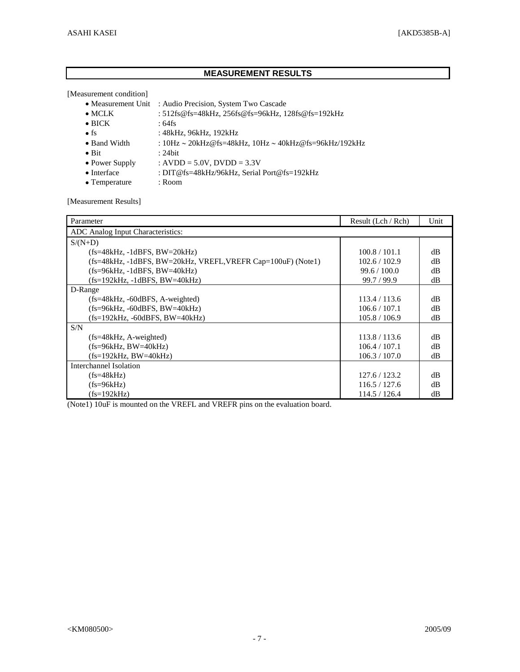# **MEASUREMENT RESULTS**

[Measurement condition]

- Measurement Unit : Audio Precision, System Two Cascade
- MCLK : 512fs@fs=48kHz, 256fs@fs=96kHz, 128fs@fs=192kHz
- $\bullet$  BICK : 64fs
- fs : 48kHz, 96kHz, 192kHz
- Band Width : 10Hz ∼ 20kHz@fs=48kHz, 10Hz ∼ 40kHz@fs=96kHz/192kHz
- $\bullet$  Bit : 24bit
- Power Supply :  $AVDD = 5.0V$ ,  $DVDD = 3.3V$
- Interface : DIT@fs=48kHz/96kHz, Serial Port@fs=192kHz
- Temperature : Room

[Measurement Results]

| Parameter                                                    | Result (Lch / Rch) | Unit     |
|--------------------------------------------------------------|--------------------|----------|
| ADC Analog Input Characteristics:                            |                    |          |
| $S/(N+D)$                                                    |                    |          |
| $(fs=48kHz, -1dBFS, BW=20kHz)$                               | 100.8 / 101.1      | dB       |
| (fs=48kHz, -1dBFS, BW=20kHz, VREFL, VREFR Cap=100uF) (Note1) | 102.6 / 102.9      | dB       |
| $(fs=96kHz, -1dBFS, BW=40kHz)$                               | 99.6 / 100.0       | $\rm dB$ |
| (fs=192kHz, -1dBFS, BW=40kHz)                                | 99.7/99.9          | dB       |
| D-Range                                                      |                    |          |
| $(fs=48kHz, -60dBFS, A-weighted)$                            | 113.4 / 113.6      | dB       |
| $(fs=96kHz, -60dBFS, BW=40kHz)$                              | 106.6 / 107.1      | dB       |
| $(fs=192kHz, -60dBFS, BW=40kHz)$                             | 105.8 / 106.9      | dB       |
| S/N                                                          |                    |          |
| $(fs=48kHz, A-weighted)$                                     | 113.8 / 113.6      | dB       |
| $(fs=96kHz, BW=40kHz)$                                       | 106.4 / 107.1      | dB       |
| $(fs=192kHz, BW=40kHz)$                                      | 106.3 / 107.0      | dB       |
| Interchannel Isolation                                       |                    |          |
| $(fs=48kHz)$                                                 | 127.6 / 123.2      | dB       |
| $(fs=96kHz)$                                                 | 116.5 / 127.6      | dB       |
| $(fs=192kHz)$                                                | 114.5 / 126.4      | dВ       |

(Note1) 10uF is mounted on the VREFL and VREFR pins on the evaluation board.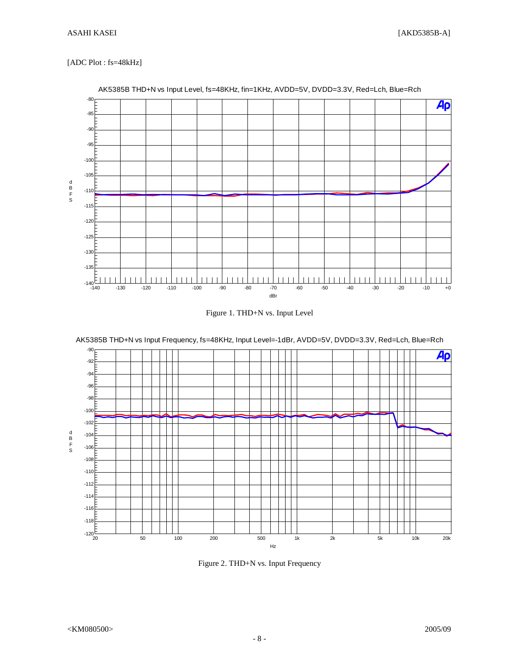## [ADC Plot : fs=48kHz]



AK5385B THD+N vs Input Level, fs=48KHz, fin=1KHz, AVDD=5V, DVDD=3.3V, Red=Lch, Blue=Rch





AK5385B THD+N vs Input Frequency, fs=48KHz, Input Level=-1dBr, AVDD=5V, DVDD=3.3V, Red=Lch, Blue=Rch

Figure 2. THD+N vs. Input Frequency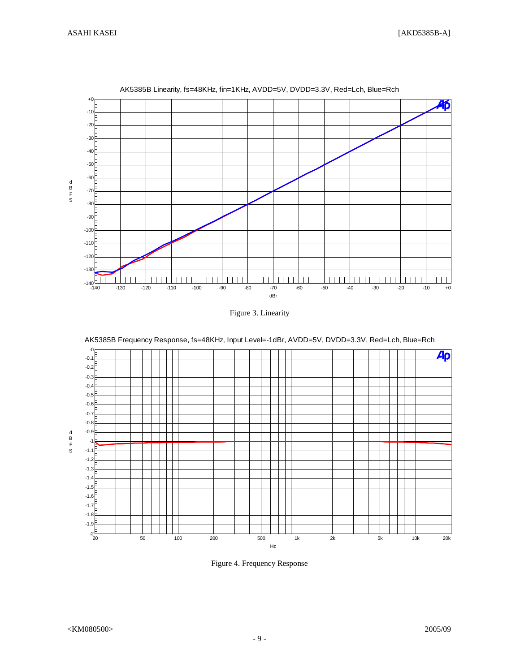

AK5385B Linearity, fs=48KHz, fin=1KHz, AVDD=5V, DVDD=3.3V, Red=Lch, Blue=Rch

Figure 3. Linearity



Figure 4. Frequency Response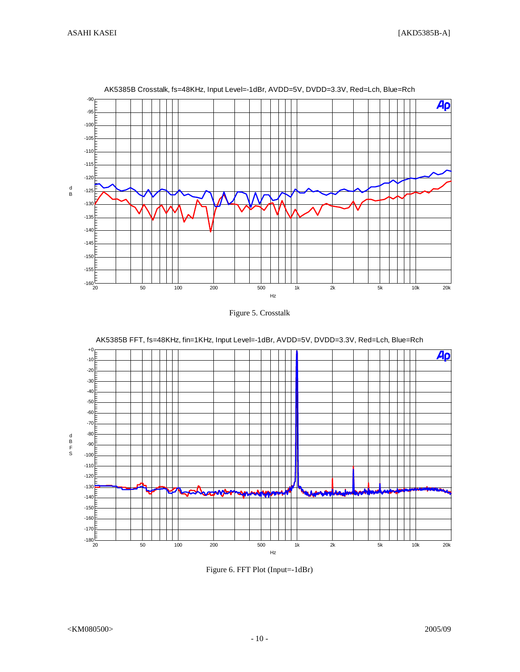

AK5385B Crosstalk, fs=48KHz, Input Level=-1dBr, AVDD=5V, DVDD=3.3V, Red=Lch, Blue=Rch





AK5385B FFT, fs=48KHz, fin=1KHz, Input Level=-1dBr, AVDD=5V, DVDD=3.3V, Red=Lch, Blue=Rch

Figure 6. FFT Plot (Input=-1dBr)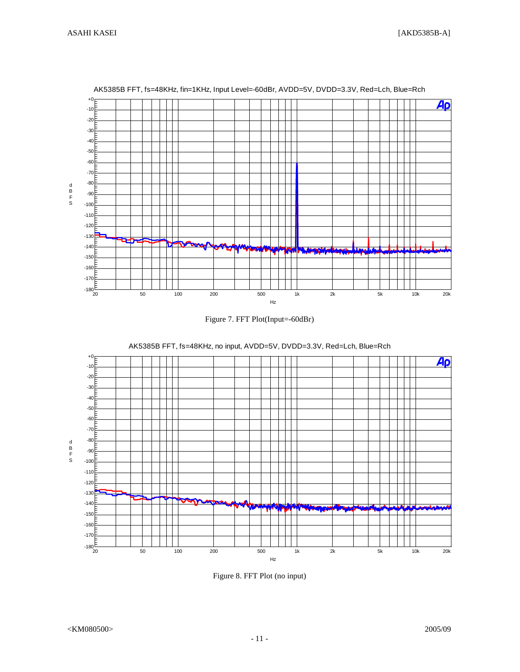

#### AK5385B FFT, fs=48KHz, fin=1KHz, Input Level=-60dBr, AVDD=5V, DVDD=3.3V, Red=Lch, Blue=Rch





AK5385B FFT, fs=48KHz, no input, AVDD=5V, DVDD=3.3V, Red=Lch, Blue=Rch

Figure 8. FFT Plot (no input)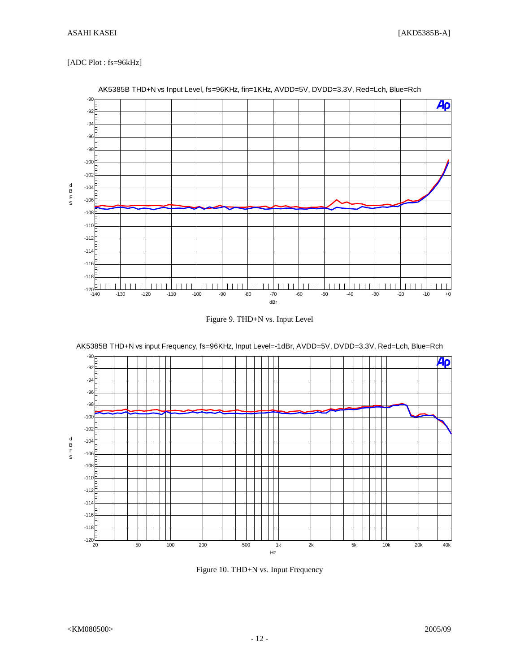# [ADC Plot : fs=96kHz]



## AK5385B THD+N vs Input Level, fs=96KHz, fin=1KHz, AVDD=5V, DVDD=3.3V, Red=Lch, Blue=Rch





AK5385B THD+N vs input Frequency, fs=96KHz, Input Level=-1dBr, AVDD=5V, DVDD=3.3V, Red=Lch, Blue=Rch

Figure 10. THD+N vs. Input Frequency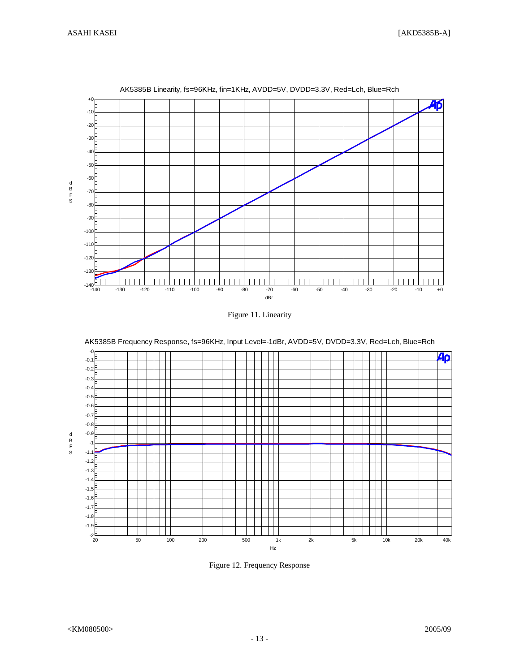

AK5385B Linearity, fs=96KHz, fin=1KHz, AVDD=5V, DVDD=3.3V, Red=Lch, Blue=Rch

-0 40  $-0.1$ -0.2 -0.3 -0.4 -0.5 -0.6 -0.7 -0.8 -0.9 d B F S -1 -1.1 -1.2 -1.3 -1.4 -1.5 -1.6 -1.7 -1.8 -1.9  $-2\frac{E}{20}$ 20 50 100 200 500 1k 2k 5k 10k 20k 40k Hz

AK5385B Frequency Response, fs=96KHz, Input Level=-1dBr, AVDD=5V, DVDD=3.3V, Red=Lch, Blue=Rch

Figure 12. Frequency Response

Figure 11. Linearity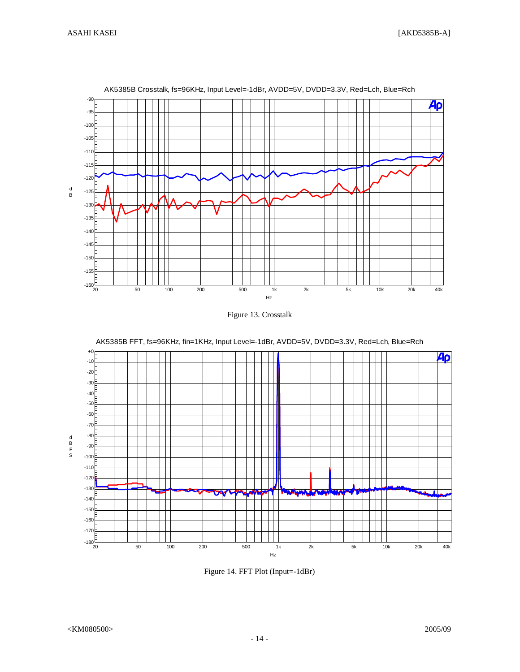

#### AK5385B Crosstalk, fs=96KHz, Input Level=-1dBr, AVDD=5V, DVDD=3.3V, Red=Lch, Blue=Rch





AK5385B FFT, fs=96KHz, fin=1KHz, Input Level=-1dBr, AVDD=5V, DVDD=3.3V, Red=Lch, Blue=Rch

Figure 14. FFT Plot (Input=-1dBr)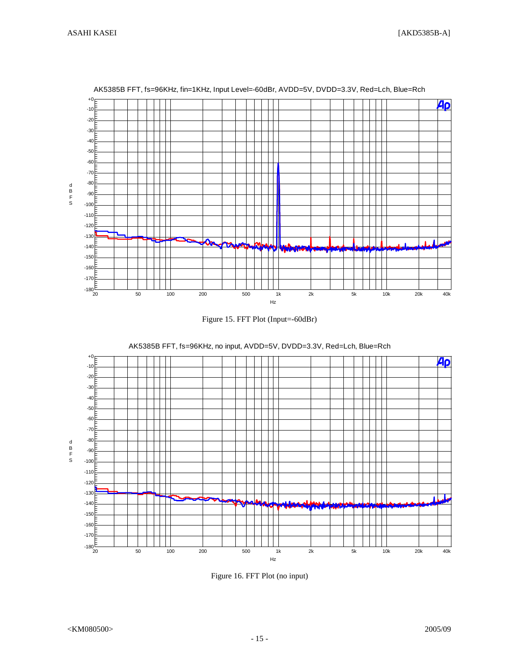

AK5385B FFT, fs=96KHz, fin=1KHz, Input Level=-60dBr, AVDD=5V, DVDD=3.3V, Red=Lch, Blue=Rch





AK5385B FFT, fs=96KHz, no input, AVDD=5V, DVDD=3.3V, Red=Lch, Blue=Rch

Figure 16. FFT Plot (no input)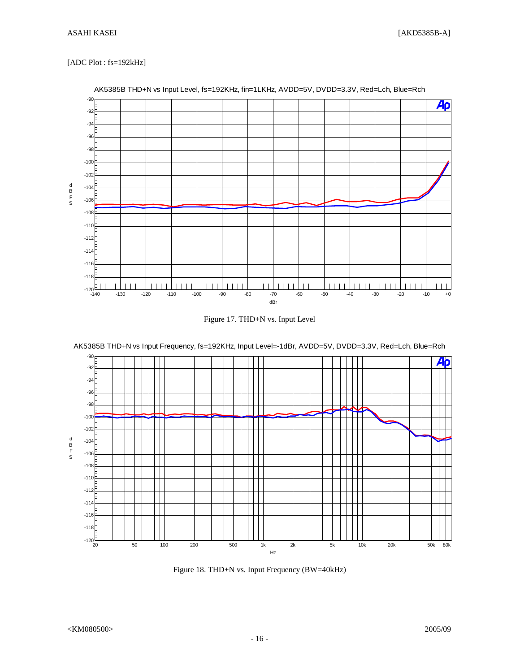# [ADC Plot : fs=192kHz]









AK5385B THD+N vs Input Frequency, fs=192KHz, Input Level=-1dBr, AVDD=5V, DVDD=3.3V, Red=Lch, Blue=Rch

Figure 18. THD+N vs. Input Frequency (BW=40kHz)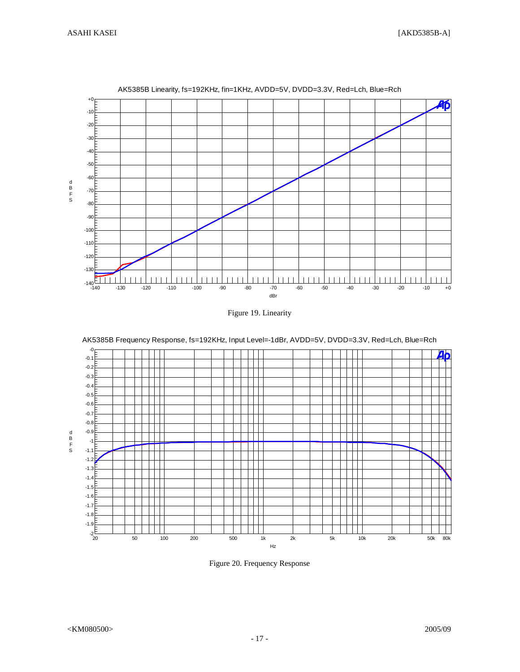

AK5385B Linearity, fs=192KHz, fin=1KHz, AVDD=5V, DVDD=3.3V, Red=Lch, Blue=Rch

Figure 19. Linearity



Figure 20. Frequency Response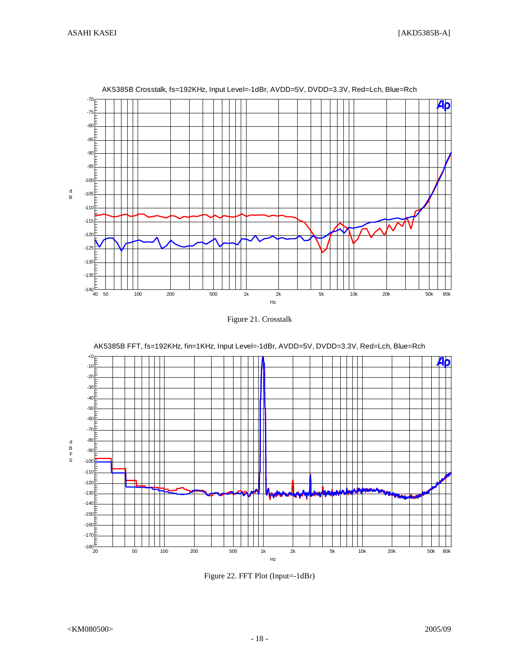

AK5385B Crosstalk, fs=192KHz, Input Level=-1dBr, AVDD=5V, DVDD=3.3V, Red=Lch, Blue=Rch





AK5385B FFT, fs=192KHz, fin=1KHz, Input Level=-1dBr, AVDD=5V, DVDD=3.3V, Red=Lch, Blue=Rch

Figure 22. FFT Plot (Input=-1dBr)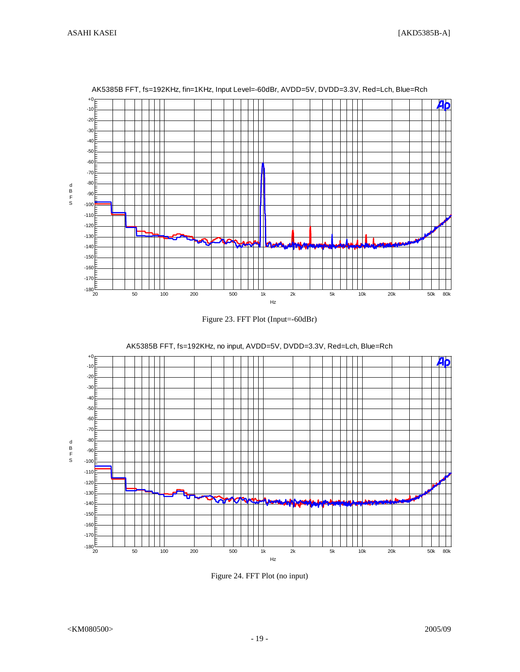d B F S

 $+<sub>0</sub>$ -10 -20 -30 -40 -50 -60 -70 -80 -90 -100 -110 -120  $\blacksquare$ -130 المد ш -140 -150 -160 -170  $-180\frac{E}{20}$ 20 50 100 200 500 1k 2k 5k 10k 20k 50k 80k Hz







AK5385B FFT, fs=192KHz, no input, AVDD=5V, DVDD=3.3V, Red=Lch, Blue=Rch

Figure 24. FFT Plot (no input)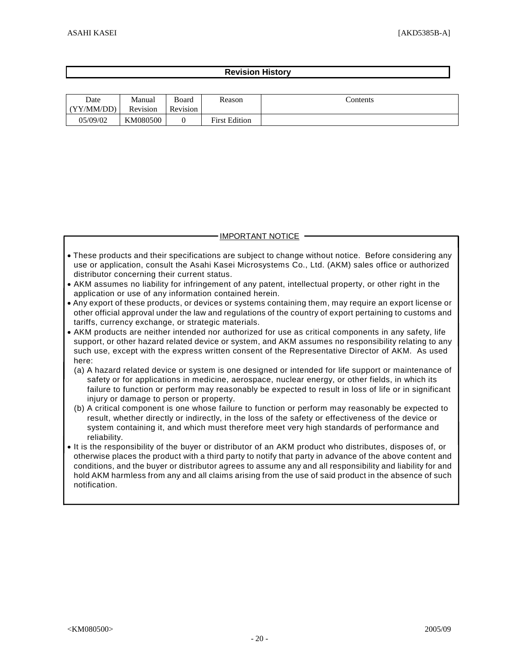# **Revision History**

| Date<br>(YY/MM/DD) | Manual<br>Revision | Board<br>Revision | Reason               | Contents |
|--------------------|--------------------|-------------------|----------------------|----------|
| 05/09/02           | KM080500           |                   | <b>First Edition</b> |          |

# IMPORTANT NOTICE

- These products and their specifications are subject to change without notice. Before considering any use or application, consult the Asahi Kasei Microsystems Co., Ltd. (AKM) sales office or authorized distributor concerning their current status.
- AKM assumes no liability for infringement of any patent, intellectual property, or other right in the application or use of any information contained herein.
- Any export of these products, or devices or systems containing them, may require an export license or other official approval under the law and regulations of the country of export pertaining to customs and tariffs, currency exchange, or strategic materials.
- AKM products are neither intended nor authorized for use as critical components in any safety, life support, or other hazard related device or system, and AKM assumes no responsibility relating to any such use, except with the express written consent of the Representative Director of AKM. As used here:
	- (a) A hazard related device or system is one designed or intended for life support or maintenance of safety or for applications in medicine, aerospace, nuclear energy, or other fields, in which its failure to function or perform may reasonably be expected to result in loss of life or in significant injury or damage to person or property.
	- (b) A critical component is one whose failure to function or perform may reasonably be expected to result, whether directly or indirectly, in the loss of the safety or effectiveness of the device or system containing it, and which must therefore meet very high standards of performance and reliability.
- It is the responsibility of the buyer or distributor of an AKM product who distributes, disposes of, or otherwise places the product with a third party to notify that party in advance of the above content and conditions, and the buyer or distributor agrees to assume any and all responsibility and liability for and hold AKM harmless from any and all claims arising from the use of said product in the absence of such notification.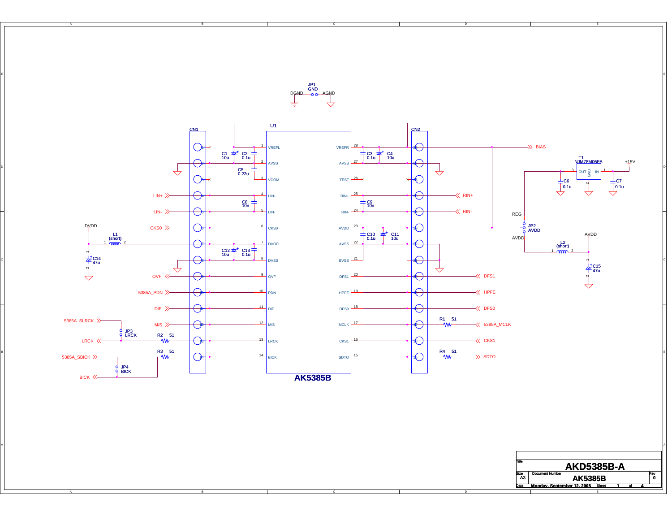

E

**Monday, September 12, 2005 1 4**

D<u>GND o AGN</u>D JP1 GND

C

El antico de la construcción de la construcción de la construcción de la construcción de la construcción de la

B

B

A

A

C

B

A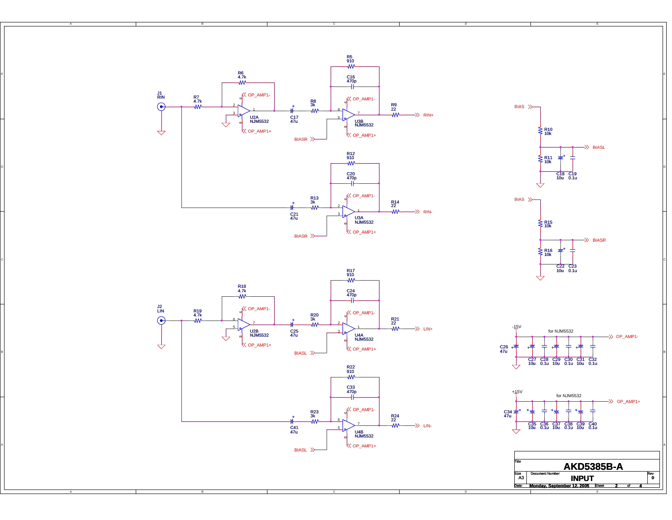R5 910 R6 4.7k EN DE LA CONSTITUCIÓN DE LA CONSTITUCIÓN DE LA CONSTITUCIÓN DE LA CONSTITUCIÓN DE LA CONSTITUCIÓN DE LA CONSTITUCIÓN DE LA CONSTITUCIÓN DE LA CONSTITUCIÓN DE LA CONSTITUCIÓN DE LA CONSTITUCIÓN DE LA CONSTITUCIÓN DE LA CONS C16 470p J1 RIN  $K$  OP\_AMP1- $K$  OP\_AMP1-R7 4.7k  $4 + 9$  $R^8$ <br> $R^8$  4 + 2R9 22BIAS ₩  $\Rightarrow$  RIN+ 37U2A NJM5532 C17 47u 5 $\overline{\rightarrow}$ U3B NJM5532 $\overline{\mathcal{A}}$  $\&$  OP\_AMP1+ R10 10k OP\_AMP1+ BIASR BIASL R12 910 +R11 10kDI ANNO 1990 - A CHANGE ANN AN CHAIR AGUS AN CHAIR AGUS AN CHAIR AGUS AN CHAIR AGUS AN CHAIR AGUS AN CHAIR AGU C20 470p C19 0.1u C18 10u  $K$  OP\_AMP1-R13 3k BIAS 4 + R14 22+ 2WM- $\Rightarrow$  RIN-1C21 47u 3U3A NJM5532R15 10k  $\&$  OP\_AMP1+ BIASR >> BIASR R16 10k +ci de la construcción de la construcción de la construcción de la construcción de la construcción de la construcción 10u 0.1u<br>10u 0.1u 10u 0.1u 10u 0.1u 10u 0.1u R17<br>910  $\mathrel{\Rightarrow}$ R18 4.7k C24 470p OP\_AMP1- J2 LIN R19 4.7k OP\_AMP1-  $+$   $+$   $4$ R20 3k $\odot$  4 + R21 22 + ₩ 25 $\Rightarrow$  LIN+ -15V for NJM5532U2B NJM5532 C25 47u 3 $\overline{\rightarrow}$  $\Rightarrow$  OP\_AMP1-U4A NJM5532  $\overline{\mathcal{A}}$ OP\_AMP1+  $\&$  OP\_AMP1+ <sup>+</sup> C26 47u + + + BIASL<sup>></sup> B C27 C28 C29 C30 C31 C32<br>10u 0.1u 10u 0.1u 10u 0.1u  $\overline{\rightarrow}$ R22 910 C33 470p +15V for NJM5532  $\Rightarrow$  OP\_AMP1+ OP\_AMP1- C34 <del>22</del><br>47u ++++R23 3k 4 + R24 22 + w 7 $\Rightarrow$  LIN-╬ C35 C36 C37 C38 C39 C40<br>10u 0.1u 10u 0.1u 10u 0.1u C41 47u 5U4B NJM5532 $\&$  OP\_AMP1+  $\mathcal{C}$  (  $\cap$  and  $\mathcal{C}$  ) and  $\mathcal{C}$  (  $\cap$  and  $\mathcal{C}$  ) and  $\mathcal{C}$  (  $\cap$  and  $\mathcal{C}$  ) and  $\mathcal{C}$  (  $\cap$ BIASL Title**AKD5385B-A** Rev<br>O Size Document Number **INPUT** 

E

t 2 ol **<sup>0</sup>**

Date: Sheet**Monday, September 12, 2005 2 4**

A3

C

A

B

B

A

C

B

A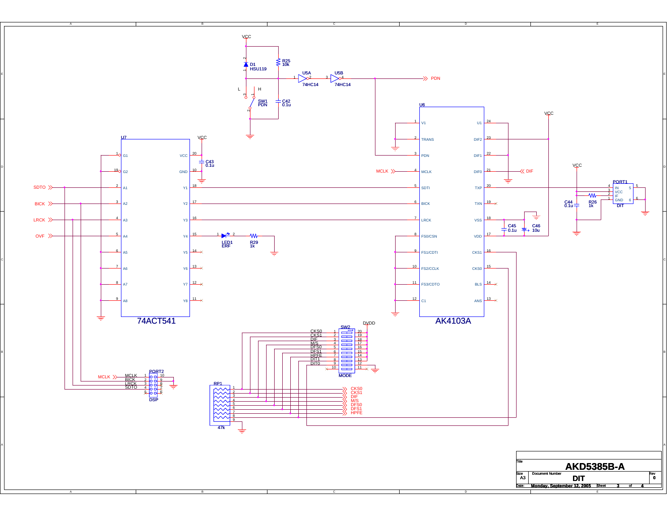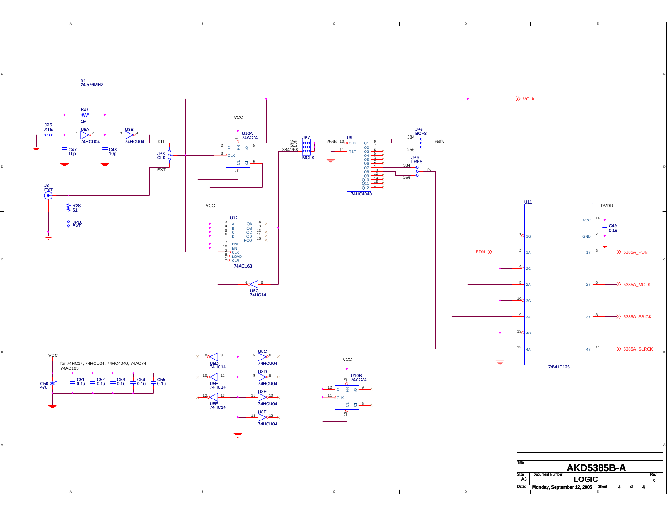

C

A

B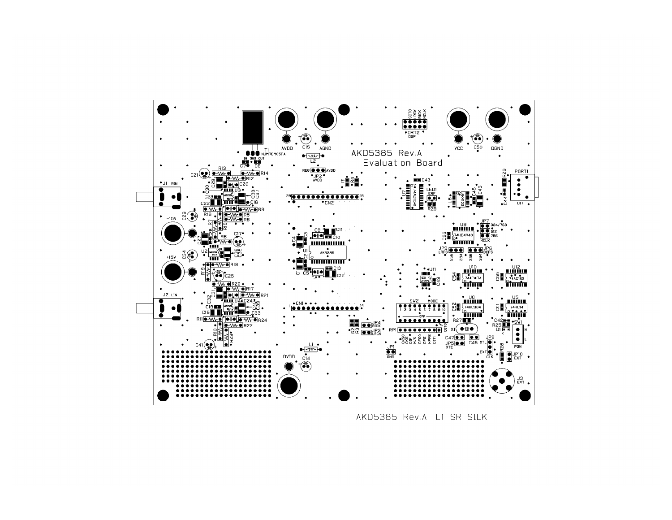

AKD5385 Rev.A L1 SR SILK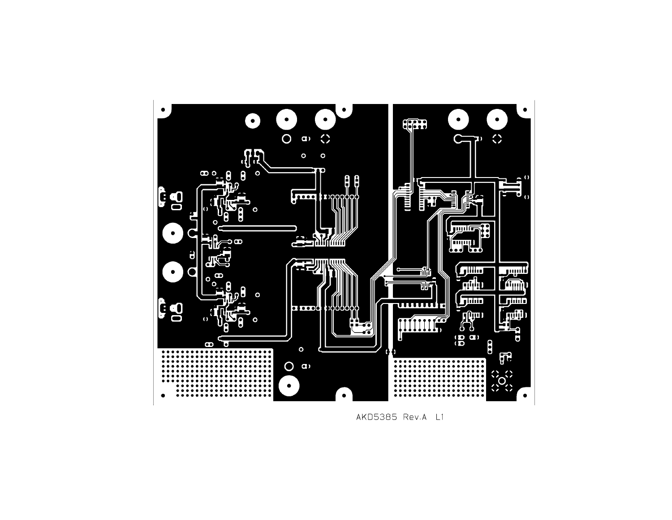

AKD5385 Rev.A L1